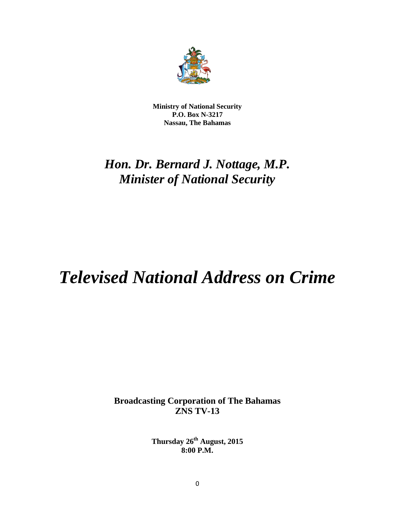

**Ministry of National Security P.O. Box N-3217 Nassau, The Bahamas**

# *Hon. Dr. Bernard J. Nottage, M.P. Minister of National Security*

# *Televised National Address on Crime*

**Broadcasting Corporation of The Bahamas ZNS TV-13**

> **Thursday 26th August, 2015 8:00 P.M.**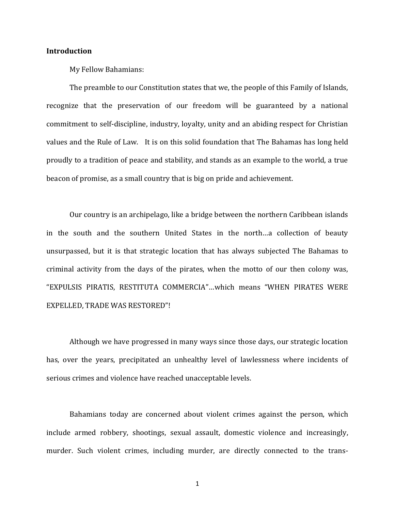#### **Introduction**

My Fellow Bahamians:

The preamble to our Constitution states that we, the people of this Family of Islands, recognize that the preservation of our freedom will be guaranteed by a national commitment to self-discipline, industry, loyalty, unity and an abiding respect for Christian values and the Rule of Law. It is on this solid foundation that The Bahamas has long held proudly to a tradition of peace and stability, and stands as an example to the world, a true beacon of promise, as a small country that is big on pride and achievement.

Our country is an archipelago, like a bridge between the northern Caribbean islands in the south and the southern United States in the north…a collection of beauty unsurpassed, but it is that strategic location that has always subjected The Bahamas to criminal activity from the days of the pirates, when the motto of our then colony was, "EXPULSIS PIRATIS, RESTITUTA COMMERCIA"…which means "WHEN PIRATES WERE EXPELLED, TRADE WAS RESTORED"!

Although we have progressed in many ways since those days, our strategic location has, over the years, precipitated an unhealthy level of lawlessness where incidents of serious crimes and violence have reached unacceptable levels.

Bahamians today are concerned about violent crimes against the person, which include armed robbery, shootings, sexual assault, domestic violence and increasingly, murder. Such violent crimes, including murder, are directly connected to the trans-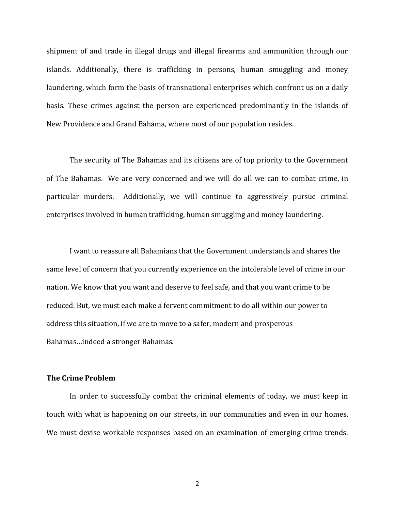shipment of and trade in illegal drugs and illegal firearms and ammunition through our islands. Additionally, there is trafficking in persons, human smuggling and money laundering, which form the basis of transnational enterprises which confront us on a daily basis. These crimes against the person are experienced predominantly in the islands of New Providence and Grand Bahama, where most of our population resides.

The security of The Bahamas and its citizens are of top priority to the Government of The Bahamas. We are very concerned and we will do all we can to combat crime, in particular murders. Additionally, we will continue to aggressively pursue criminal enterprises involved in human trafficking, human smuggling and money laundering.

I want to reassure all Bahamians that the Government understands and shares the same level of concern that you currently experience on the intolerable level of crime in our nation. We know that you want and deserve to feel safe, and that you want crime to be reduced. But, we must each make a fervent commitment to do all within our power to address this situation, if we are to move to a safer, modern and prosperous Bahamas…indeed a stronger Bahamas.

#### **The Crime Problem**

In order to successfully combat the criminal elements of today, we must keep in touch with what is happening on our streets, in our communities and even in our homes. We must devise workable responses based on an examination of emerging crime trends.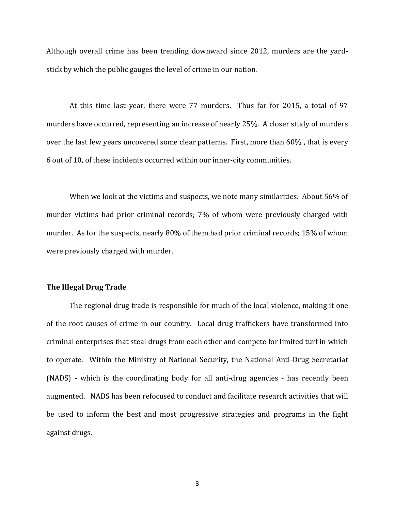Although overall crime has been trending downward since 2012, murders are the yardstick by which the public gauges the level of crime in our nation.

At this time last year, there were 77 murders. Thus far for 2015, a total of 97 murders have occurred, representing an increase of nearly 25%. A closer study of murders over the last few years uncovered some clear patterns. First, more than 60% , that is every 6 out of 10, of these incidents occurred within our inner-city communities.

When we look at the victims and suspects, we note many similarities. About 56% of murder victims had prior criminal records; 7% of whom were previously charged with murder. As for the suspects, nearly 80% of them had prior criminal records; 15% of whom were previously charged with murder.

# **The Illegal Drug Trade**

The regional drug trade is responsible for much of the local violence, making it one of the root causes of crime in our country. Local drug traffickers have transformed into criminal enterprises that steal drugs from each other and compete for limited turf in which to operate. Within the Ministry of National Security, the National Anti-Drug Secretariat (NADS) - which is the coordinating body for all anti-drug agencies - has recently been augmented. NADS has been refocused to conduct and facilitate research activities that will be used to inform the best and most progressive strategies and programs in the fight against drugs.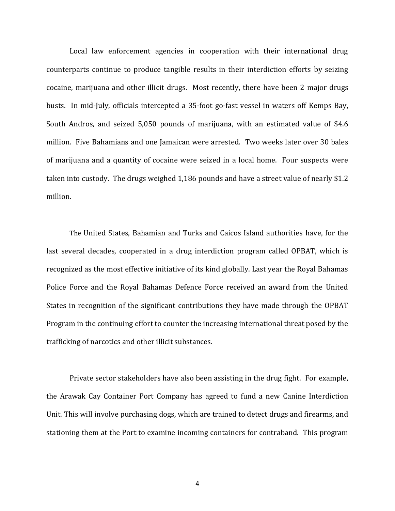Local law enforcement agencies in cooperation with their international drug counterparts continue to produce tangible results in their interdiction efforts by seizing cocaine, marijuana and other illicit drugs. Most recently, there have been 2 major drugs busts. In mid-July, officials intercepted a 35-foot go-fast vessel in waters off Kemps Bay, South Andros, and seized 5,050 pounds of marijuana, with an estimated value of \$4.6 million. Five Bahamians and one Jamaican were arrested. Two weeks later over 30 bales of marijuana and a quantity of cocaine were seized in a local home. Four suspects were taken into custody. The drugs weighed 1,186 pounds and have a street value of nearly \$1.2 million.

The United States, Bahamian and Turks and Caicos Island authorities have, for the last several decades, cooperated in a drug interdiction program called OPBAT, which is recognized as the most effective initiative of its kind globally. Last year the Royal Bahamas Police Force and the Royal Bahamas Defence Force received an award from the United States in recognition of the significant contributions they have made through the OPBAT Program in the continuing effort to counter the increasing international threat posed by the trafficking of narcotics and other illicit substances.

Private sector stakeholders have also been assisting in the drug fight. For example, the Arawak Cay Container Port Company has agreed to fund a new Canine Interdiction Unit. This will involve purchasing dogs, which are trained to detect drugs and firearms, and stationing them at the Port to examine incoming containers for contraband. This program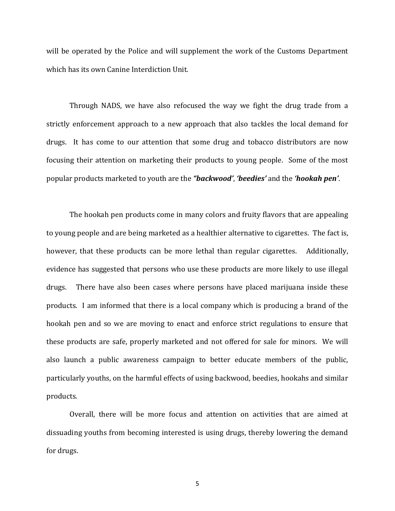will be operated by the Police and will supplement the work of the Customs Department which has its own Canine Interdiction Unit.

Through NADS, we have also refocused the way we fight the drug trade from a strictly enforcement approach to a new approach that also tackles the local demand for drugs. It has come to our attention that some drug and tobacco distributors are now focusing their attention on marketing their products to young people. Some of the most popular products marketed to youth are the *"backwood'*, *'beedies'* and the *'hookah pen'*.

The hookah pen products come in many colors and fruity flavors that are appealing to young people and are being marketed as a healthier alternative to cigarettes. The fact is, however, that these products can be more lethal than regular cigarettes. Additionally, evidence has suggested that persons who use these products are more likely to use illegal drugs. There have also been cases where persons have placed marijuana inside these products. I am informed that there is a local company which is producing a brand of the hookah pen and so we are moving to enact and enforce strict regulations to ensure that these products are safe, properly marketed and not offered for sale for minors. We will also launch a public awareness campaign to better educate members of the public, particularly youths, on the harmful effects of using backwood, beedies, hookahs and similar products.

Overall, there will be more focus and attention on activities that are aimed at dissuading youths from becoming interested is using drugs, thereby lowering the demand for drugs.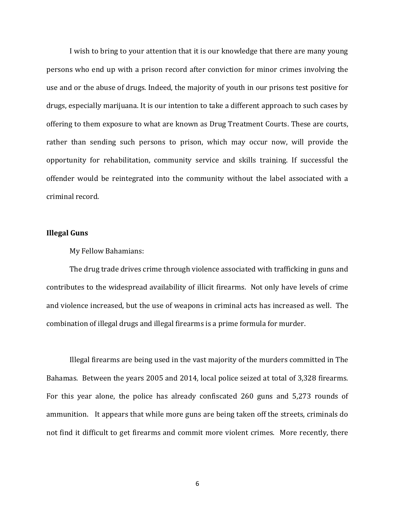I wish to bring to your attention that it is our knowledge that there are many young persons who end up with a prison record after conviction for minor crimes involving the use and or the abuse of drugs. Indeed, the majority of youth in our prisons test positive for drugs, especially marijuana. It is our intention to take a different approach to such cases by offering to them exposure to what are known as Drug Treatment Courts. These are courts, rather than sending such persons to prison, which may occur now, will provide the opportunity for rehabilitation, community service and skills training. If successful the offender would be reintegrated into the community without the label associated with a criminal record.

# **Illegal Guns**

My Fellow Bahamians:

The drug trade drives crime through violence associated with trafficking in guns and contributes to the widespread availability of illicit firearms. Not only have levels of crime and violence increased, but the use of weapons in criminal acts has increased as well. The combination of illegal drugs and illegal firearms is a prime formula for murder.

Illegal firearms are being used in the vast majority of the murders committed in The Bahamas. Between the years 2005 and 2014, local police seized at total of 3,328 firearms. For this year alone, the police has already confiscated 260 guns and 5,273 rounds of ammunition. It appears that while more guns are being taken off the streets, criminals do not find it difficult to get firearms and commit more violent crimes. More recently, there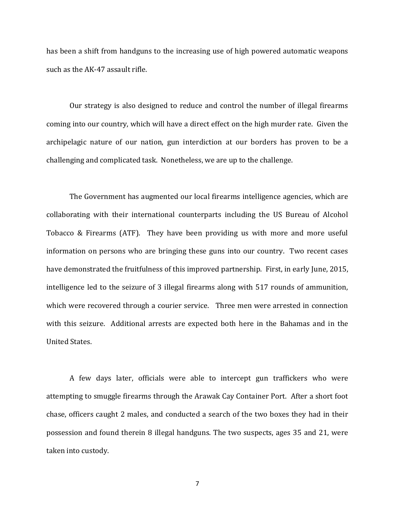has been a shift from handguns to the increasing use of high powered automatic weapons such as the AK-47 assault rifle.

Our strategy is also designed to reduce and control the number of illegal firearms coming into our country, which will have a direct effect on the high murder rate. Given the archipelagic nature of our nation, gun interdiction at our borders has proven to be a challenging and complicated task. Nonetheless, we are up to the challenge.

The Government has augmented our local firearms intelligence agencies, which are collaborating with their international counterparts including the US Bureau of Alcohol Tobacco & Firearms (ATF). They have been providing us with more and more useful information on persons who are bringing these guns into our country. Two recent cases have demonstrated the fruitfulness of this improved partnership. First, in early June, 2015, intelligence led to the seizure of 3 illegal firearms along with 517 rounds of ammunition, which were recovered through a courier service. Three men were arrested in connection with this seizure. Additional arrests are expected both here in the Bahamas and in the United States.

A few days later, officials were able to intercept gun traffickers who were attempting to smuggle firearms through the Arawak Cay Container Port. After a short foot chase, officers caught 2 males, and conducted a search of the two boxes they had in their possession and found therein 8 illegal handguns. The two suspects, ages 35 and 21, were taken into custody.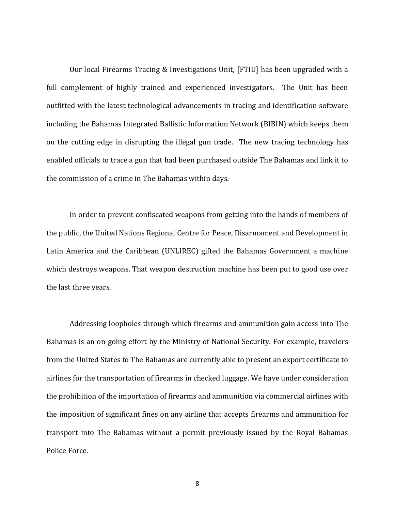Our local Firearms Tracing & Investigations Unit, [FTIU] has been upgraded with a full complement of highly trained and experienced investigators. The Unit has been outfitted with the latest technological advancements in tracing and identification software including the Bahamas Integrated Ballistic Information Network (BIBIN) which keeps them on the cutting edge in disrupting the illegal gun trade.The new tracing technology has enabled officials to trace a gun that had been purchased outside The Bahamas and link it to the commission of a crime in The Bahamas within days.

In order to prevent confiscated weapons from getting into the hands of members of the public, the United Nations Regional Centre for Peace, Disarmament and Development in Latin America and the Caribbean (UNLIREC) gifted the Bahamas Government a machine which destroys weapons. That weapon destruction machine has been put to good use over the last three years.

Addressing loopholes through which firearms and ammunition gain access into The Bahamas is an on-going effort by the Ministry of National Security. For example, travelers from the United States to The Bahamas are currently able to present an export certificate to airlines for the transportation of firearms in checked luggage. We have under consideration the prohibition of the importation of firearms and ammunition via commercial airlines with the imposition of significant fines on any airline that accepts firearms and ammunition for transport into The Bahamas without a permit previously issued by the Royal Bahamas Police Force.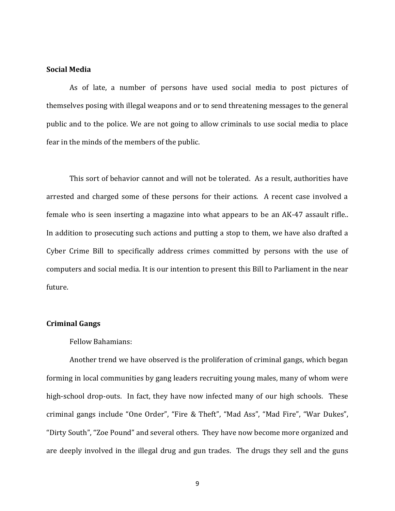# **Social Media**

As of late, a number of persons have used social media to post pictures of themselves posing with illegal weapons and or to send threatening messages to the general public and to the police. We are not going to allow criminals to use social media to place fear in the minds of the members of the public.

This sort of behavior cannot and will not be tolerated. As a result, authorities have arrested and charged some of these persons for their actions. A recent case involved a female who is seen inserting a magazine into what appears to be an AK-47 assault rifle.. In addition to prosecuting such actions and putting a stop to them, we have also drafted a Cyber Crime Bill to specifically address crimes committed by persons with the use of computers and social media. It is our intention to present this Bill to Parliament in the near future.

#### **Criminal Gangs**

Fellow Bahamians:

Another trend we have observed is the proliferation of criminal gangs, which began forming in local communities by gang leaders recruiting young males, many of whom were high-school drop-outs. In fact, they have now infected many of our high schools. These criminal gangs include "One Order", "Fire & Theft", "Mad Ass", "Mad Fire", "War Dukes", "Dirty South", "Zoe Pound" and several others. They have now become more organized and are deeply involved in the illegal drug and gun trades. The drugs they sell and the guns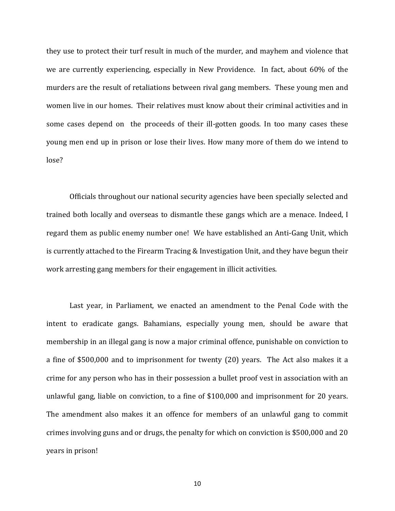they use to protect their turf result in much of the murder, and mayhem and violence that we are currently experiencing, especially in New Providence. In fact, about 60% of the murders are the result of retaliations between rival gang members. These young men and women live in our homes. Their relatives must know about their criminal activities and in some cases depend on the proceeds of their ill-gotten goods. In too many cases these young men end up in prison or lose their lives. How many more of them do we intend to lose?

Officials throughout our national security agencies have been specially selected and trained both locally and overseas to dismantle these gangs which are a menace. Indeed, I regard them as public enemy number one! We have established an Anti-Gang Unit, which is currently attached to the Firearm Tracing & Investigation Unit, and they have begun their work arresting gang members for their engagement in illicit activities.

Last year, in Parliament, we enacted an amendment to the Penal Code with the intent to eradicate gangs. Bahamians, especially young men, should be aware that membership in an illegal gang is now a major criminal offence, punishable on conviction to a fine of \$500,000 and to imprisonment for twenty (20) years. The Act also makes it a crime for any person who has in their possession a bullet proof vest in association with an unlawful gang, liable on conviction, to a fine of \$100,000 and imprisonment for 20 years. The amendment also makes it an offence for members of an unlawful gang to commit crimes involving guns and or drugs, the penalty for which on conviction is \$500,000 and 20 years in prison!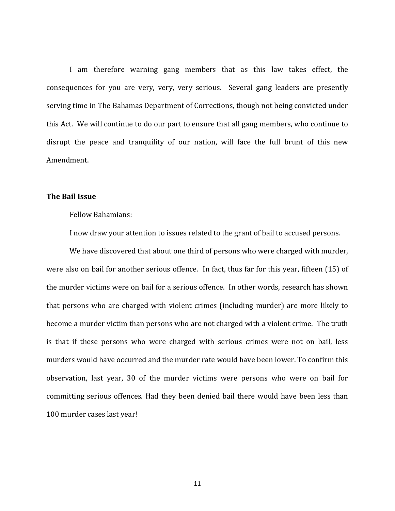I am therefore warning gang members that as this law takes effect, the consequences for you are very, very, very serious. Several gang leaders are presently serving time in The Bahamas Department of Corrections, though not being convicted under this Act. We will continue to do our part to ensure that all gang members, who continue to disrupt the peace and tranquility of our nation, will face the full brunt of this new Amendment.

# **The Bail Issue**

# Fellow Bahamians:

I now draw your attention to issues related to the grant of bail to accused persons.

We have discovered that about one third of persons who were charged with murder, were also on bail for another serious offence. In fact, thus far for this year, fifteen (15) of the murder victims were on bail for a serious offence. In other words, research has shown that persons who are charged with violent crimes (including murder) are more likely to become a murder victim than persons who are not charged with a violent crime. The truth is that if these persons who were charged with serious crimes were not on bail, less murders would have occurred and the murder rate would have been lower. To confirm this observation, last year, 30 of the murder victims were persons who were on bail for committing serious offences. Had they been denied bail there would have been less than 100 murder cases last year!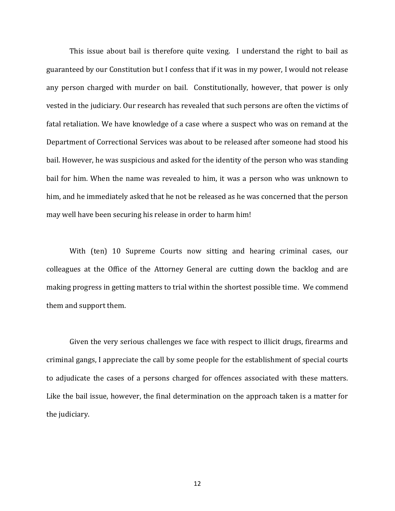This issue about bail is therefore quite vexing. I understand the right to bail as guaranteed by our Constitution but I confess that if it was in my power, I would not release any person charged with murder on bail. Constitutionally, however, that power is only vested in the judiciary. Our research has revealed that such persons are often the victims of fatal retaliation. We have knowledge of a case where a suspect who was on remand at the Department of Correctional Services was about to be released after someone had stood his bail. However, he was suspicious and asked for the identity of the person who was standing bail for him. When the name was revealed to him, it was a person who was unknown to him, and he immediately asked that he not be released as he was concerned that the person may well have been securing his release in order to harm him!

With (ten) 10 Supreme Courts now sitting and hearing criminal cases, our colleagues at the Office of the Attorney General are cutting down the backlog and are making progress in getting matters to trial within the shortest possible time. We commend them and support them.

Given the very serious challenges we face with respect to illicit drugs, firearms and criminal gangs, I appreciate the call by some people for the establishment of special courts to adjudicate the cases of a persons charged for offences associated with these matters. Like the bail issue, however, the final determination on the approach taken is a matter for the judiciary.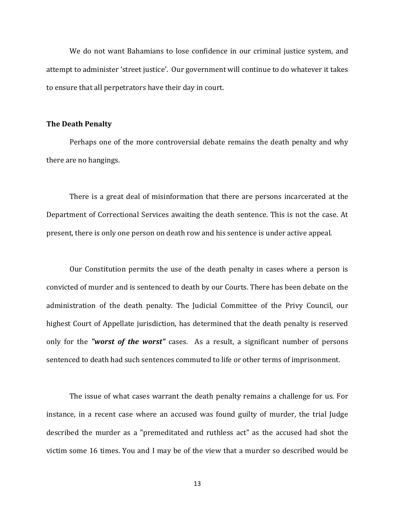We do not want Bahamians to lose confidence in our criminal justice system, and attempt to administer 'street justice'. Our government will continue to do whatever it takes to ensure that all perpetrators have their day in court.

#### **The Death Penalty**

Perhaps one of the more controversial debate remains the death penalty and why there are no hangings.

There is a great deal of misinformation that there are persons incarcerated at the Department of Correctional Services awaiting the death sentence. This is not the case. At present, there is only one person on death row and his sentence is under active appeal.

Our Constitution permits the use of the death penalty in cases where a person is convicted of murder and is sentenced to death by our Courts. There has been debate on the administration of the death penalty. The Judicial Committee of the Privy Council, our highest Court of Appellate jurisdiction, has determined that the death penalty is reserved only for the *"worst of the worst"* cases. As a result, a significant number of persons sentenced to death had such sentences commuted to life or other terms of imprisonment.

The issue of what cases warrant the death penalty remains a challenge for us. For instance, in a recent case where an accused was found guilty of murder, the trial Judge described the murder as a "premeditated and ruthless act" as the accused had shot the victim some 16 times. You and I may be of the view that a murder so described would be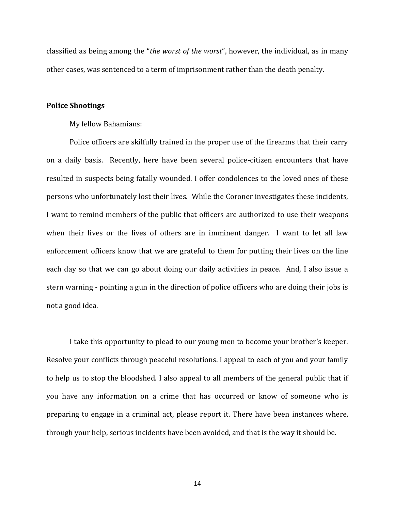classified as being among the "*the worst of the worst*", however, the individual, as in many other cases, was sentenced to a term of imprisonment rather than the death penalty.

#### **Police Shootings**

My fellow Bahamians:

Police officers are skilfully trained in the proper use of the firearms that their carry on a daily basis. Recently, here have been several police-citizen encounters that have resulted in suspects being fatally wounded. I offer condolences to the loved ones of these persons who unfortunately lost their lives. While the Coroner investigates these incidents, I want to remind members of the public that officers are authorized to use their weapons when their lives or the lives of others are in imminent danger. I want to let all law enforcement officers know that we are grateful to them for putting their lives on the line each day so that we can go about doing our daily activities in peace. And, I also issue a stern warning - pointing a gun in the direction of police officers who are doing their jobs is not a good idea.

I take this opportunity to plead to our young men to become your brother's keeper. Resolve your conflicts through peaceful resolutions. I appeal to each of you and your family to help us to stop the bloodshed. I also appeal to all members of the general public that if you have any information on a crime that has occurred or know of someone who is preparing to engage in a criminal act, please report it. There have been instances where, through your help, serious incidents have been avoided, and that is the way it should be.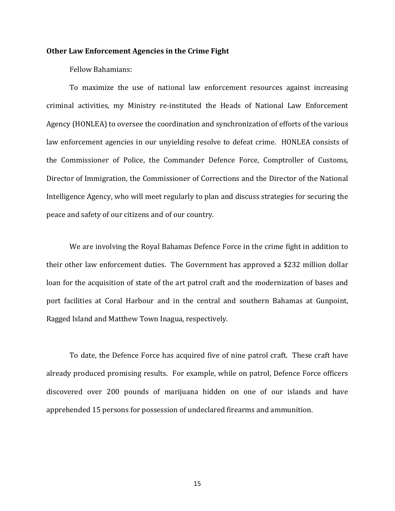#### **Other Law Enforcement Agencies in the Crime Fight**

# Fellow Bahamians:

To maximize the use of national law enforcement resources against increasing criminal activities, my Ministry re-instituted the Heads of National Law Enforcement Agency (HONLEA) to oversee the coordination and synchronization of efforts of the various law enforcement agencies in our unyielding resolve to defeat crime. HONLEA consists of the Commissioner of Police, the Commander Defence Force, Comptroller of Customs, Director of Immigration, the Commissioner of Corrections and the Director of the National Intelligence Agency, who will meet regularly to plan and discuss strategies for securing the peace and safety of our citizens and of our country.

We are involving the Royal Bahamas Defence Force in the crime fight in addition to their other law enforcement duties. The Government has approved a \$232 million dollar loan for the acquisition of state of the art patrol craft and the modernization of bases and port facilities at Coral Harbour and in the central and southern Bahamas at Gunpoint, Ragged Island and Matthew Town Inagua, respectively.

To date, the Defence Force has acquired five of nine patrol craft. These craft have already produced promising results. For example, while on patrol, Defence Force officers discovered over 200 pounds of marijuana hidden on one of our islands and have apprehended 15 persons for possession of undeclared firearms and ammunition.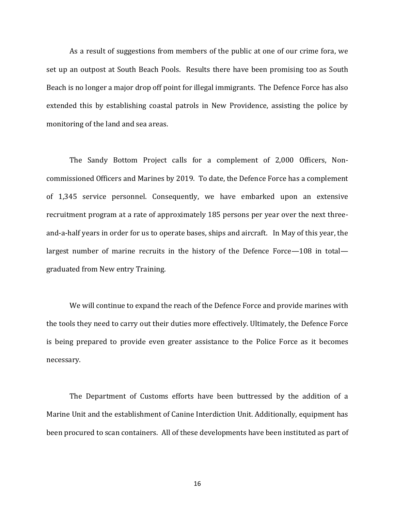As a result of suggestions from members of the public at one of our crime fora, we set up an outpost at South Beach Pools. Results there have been promising too as South Beach is no longer a major drop off point for illegal immigrants. The Defence Force has also extended this by establishing coastal patrols in New Providence, assisting the police by monitoring of the land and sea areas.

The Sandy Bottom Project calls for a complement of 2,000 Officers, Noncommissioned Officers and Marines by 2019. To date, the Defence Force has a complement of 1,345 service personnel. Consequently, we have embarked upon an extensive recruitment program at a rate of approximately 185 persons per year over the next threeand-a-half years in order for us to operate bases, ships and aircraft. In May of this year, the largest number of marine recruits in the history of the Defence Force—108 in total graduated from New entry Training.

We will continue to expand the reach of the Defence Force and provide marines with the tools they need to carry out their duties more effectively. Ultimately, the Defence Force is being prepared to provide even greater assistance to the Police Force as it becomes necessary.

The Department of Customs efforts have been buttressed by the addition of a Marine Unit and the establishment of Canine Interdiction Unit. Additionally, equipment has been procured to scan containers. All of these developments have been instituted as part of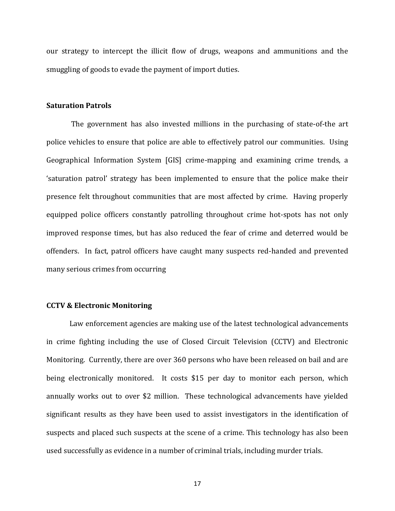our strategy to intercept the illicit flow of drugs, weapons and ammunitions and the smuggling of goods to evade the payment of import duties.

#### **Saturation Patrols**

The government has also invested millions in the purchasing of state-of-the art police vehicles to ensure that police are able to effectively patrol our communities. Using Geographical Information System [GIS] crime-mapping and examining crime trends, a 'saturation patrol' strategy has been implemented to ensure that the police make their presence felt throughout communities that are most affected by crime. Having properly equipped police officers constantly patrolling throughout crime hot-spots has not only improved response times, but has also reduced the fear of crime and deterred would be offenders. In fact, patrol officers have caught many suspects red-handed and prevented many serious crimes from occurring

# **CCTV & Electronic Monitoring**

Law enforcement agencies are making use of the latest technological advancements in crime fighting including the use of Closed Circuit Television (CCTV) and Electronic Monitoring. Currently, there are over 360 persons who have been released on bail and are being electronically monitored. It costs \$15 per day to monitor each person, which annually works out to over \$2 million. These technological advancements have yielded significant results as they have been used to assist investigators in the identification of suspects and placed such suspects at the scene of a crime. This technology has also been used successfully as evidence in a number of criminal trials, including murder trials.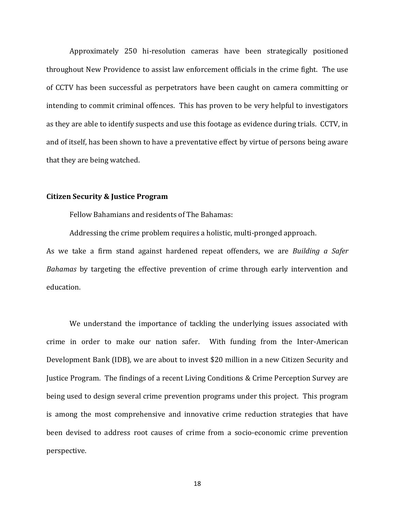Approximately 250 hi-resolution cameras have been strategically positioned throughout New Providence to assist law enforcement officials in the crime fight. The use of CCTV has been successful as perpetrators have been caught on camera committing or intending to commit criminal offences. This has proven to be very helpful to investigators as they are able to identify suspects and use this footage as evidence during trials. CCTV, in and of itself, has been shown to have a preventative effect by virtue of persons being aware that they are being watched.

#### **Citizen Security & Justice Program**

Fellow Bahamians and residents of The Bahamas:

Addressing the crime problem requires a holistic, multi-pronged approach. As we take a firm stand against hardened repeat offenders, we are *Building a Safer Bahamas* by targeting the effective prevention of crime through early intervention and education.

We understand the importance of tackling the underlying issues associated with crime in order to make our nation safer. With funding from the Inter-American Development Bank (IDB), we are about to invest \$20 million in a new Citizen Security and Justice Program. The findings of a recent Living Conditions & Crime Perception Survey are being used to design several crime prevention programs under this project. This program is among the most comprehensive and innovative crime reduction strategies that have been devised to address root causes of crime from a socio-economic crime prevention perspective.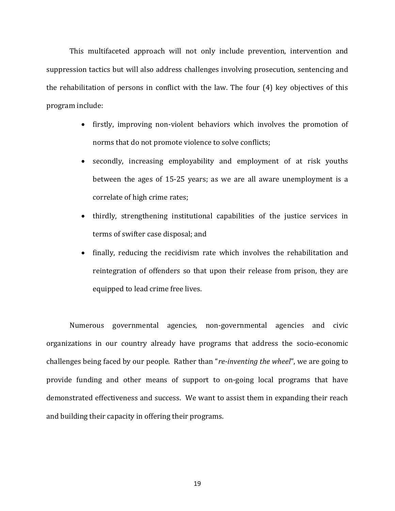This multifaceted approach will not only include prevention, intervention and suppression tactics but will also address challenges involving prosecution, sentencing and the rehabilitation of persons in conflict with the law. The four (4) key objectives of this program include:

- firstly, improving non-violent behaviors which involves the promotion of norms that do not promote violence to solve conflicts;
- secondly, increasing employability and employment of at risk youths between the ages of 15-25 years; as we are all aware unemployment is a correlate of high crime rates;
- thirdly, strengthening institutional capabilities of the justice services in terms of swifter case disposal; and
- finally, reducing the recidivism rate which involves the rehabilitation and reintegration of offenders so that upon their release from prison, they are equipped to lead crime free lives.

Numerous governmental agencies, non-governmental agencies and civic organizations in our country already have programs that address the socio-economic challenges being faced by our people. Rather than "*re-inventing the wheel*", we are going to provide funding and other means of support to on-going local programs that have demonstrated effectiveness and success. We want to assist them in expanding their reach and building their capacity in offering their programs.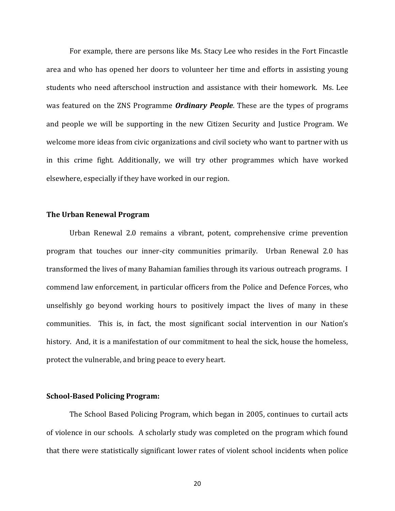For example, there are persons like Ms. Stacy Lee who resides in the Fort Fincastle area and who has opened her doors to volunteer her time and efforts in assisting young students who need afterschool instruction and assistance with their homework. Ms. Lee was featured on the ZNS Programme *Ordinary People*. These are the types of programs and people we will be supporting in the new Citizen Security and Justice Program. We welcome more ideas from civic organizations and civil society who want to partner with us in this crime fight. Additionally, we will try other programmes which have worked elsewhere, especially if they have worked in our region.

#### **The Urban Renewal Program**

Urban Renewal 2.0 remains a vibrant, potent, comprehensive crime prevention program that touches our inner-city communities primarily. Urban Renewal 2.0 has transformed the lives of many Bahamian families through its various outreach programs. I commend law enforcement, in particular officers from the Police and Defence Forces, who unselfishly go beyond working hours to positively impact the lives of many in these communities. This is, in fact, the most significant social intervention in our Nation's history. And, it is a manifestation of our commitment to heal the sick, house the homeless, protect the vulnerable, and bring peace to every heart.

#### **School-Based Policing Program:**

The School Based Policing Program, which began in 2005, continues to curtail acts of violence in our schools. A scholarly study was completed on the program which found that there were statistically significant lower rates of violent school incidents when police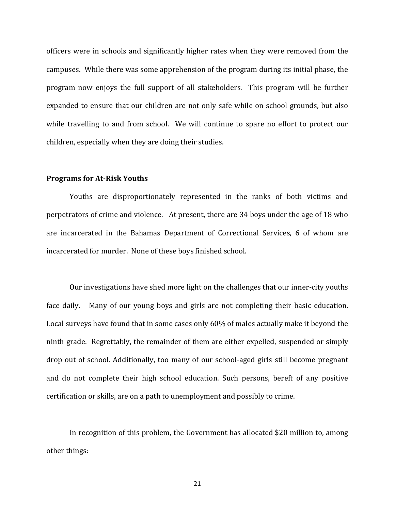officers were in schools and significantly higher rates when they were removed from the campuses. While there was some apprehension of the program during its initial phase, the program now enjoys the full support of all stakeholders. This program will be further expanded to ensure that our children are not only safe while on school grounds, but also while travelling to and from school. We will continue to spare no effort to protect our children, especially when they are doing their studies.

# **Programs for At-Risk Youths**

Youths are disproportionately represented in the ranks of both victims and perpetrators of crime and violence. At present, there are 34 boys under the age of 18 who are incarcerated in the Bahamas Department of Correctional Services, 6 of whom are incarcerated for murder. None of these boys finished school.

Our investigations have shed more light on the challenges that our inner-city youths face daily. Many of our young boys and girls are not completing their basic education. Local surveys have found that in some cases only 60% of males actually make it beyond the ninth grade. Regrettably, the remainder of them are either expelled, suspended or simply drop out of school. Additionally, too many of our school-aged girls still become pregnant and do not complete their high school education. Such persons, bereft of any positive certification or skills, are on a path to unemployment and possibly to crime.

In recognition of this problem, the Government has allocated \$20 million to, among other things: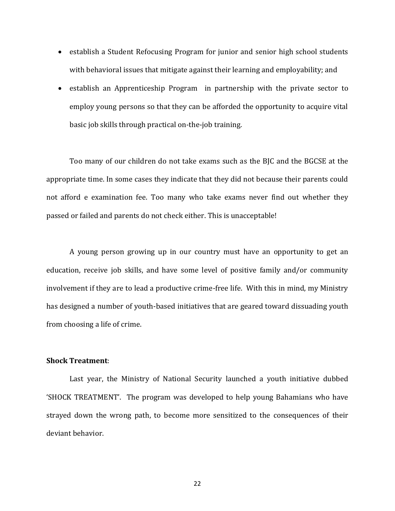- establish a Student Refocusing Program for junior and senior high school students with behavioral issues that mitigate against their learning and employability; and
- establish an Apprenticeship Program in partnership with the private sector to employ young persons so that they can be afforded the opportunity to acquire vital basic job skills through practical on-the-job training.

Too many of our children do not take exams such as the BJC and the BGCSE at the appropriate time. In some cases they indicate that they did not because their parents could not afford e examination fee. Too many who take exams never find out whether they passed or failed and parents do not check either. This is unacceptable!

A young person growing up in our country must have an opportunity to get an education, receive job skills, and have some level of positive family and/or community involvement if they are to lead a productive crime-free life.With this in mind, my Ministry has designed a number of youth-based initiatives that are geared toward dissuading youth from choosing a life of crime.

# **Shock Treatment**:

Last year, the Ministry of National Security launched a youth initiative dubbed 'SHOCK TREATMENT'. The program was developed to help young Bahamians who have strayed down the wrong path, to become more sensitized to the consequences of their deviant behavior.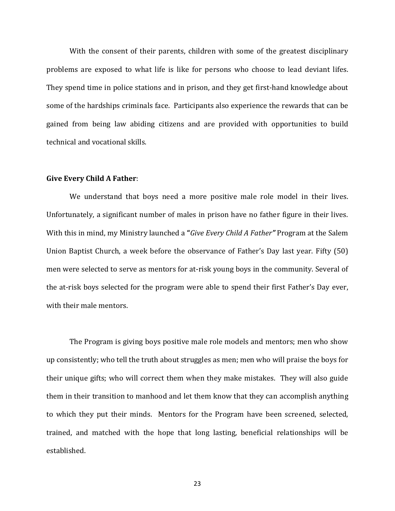With the consent of their parents, children with some of the greatest disciplinary problems are exposed to what life is like for persons who choose to lead deviant lifes. They spend time in police stations and in prison, and they get first-hand knowledge about some of the hardships criminals face. Participants also experience the rewards that can be gained from being law abiding citizens and are provided with opportunities to build technical and vocational skills.

# **Give Every Child A Father**:

We understand that boys need a more positive male role model in their lives. Unfortunately, a significant number of males in prison have no father figure in their lives. With this in mind, my Ministry launched a **"***Give Every Child A Father"* Program at the Salem Union Baptist Church, a week before the observance of Father's Day last year. Fifty (50) men were selected to serve as mentors for at-risk young boys in the community. Several of the at-risk boys selected for the program were able to spend their first Father's Day ever, with their male mentors.

The Program is giving boys positive male role models and mentors; men who show up consistently; who tell the truth about struggles as men; men who will praise the boys for their unique gifts; who will correct them when they make mistakes. They will also guide them in their transition to manhood and let them know that they can accomplish anything to which they put their minds. Mentors for the Program have been screened, selected, trained, and matched with the hope that long lasting, beneficial relationships will be established.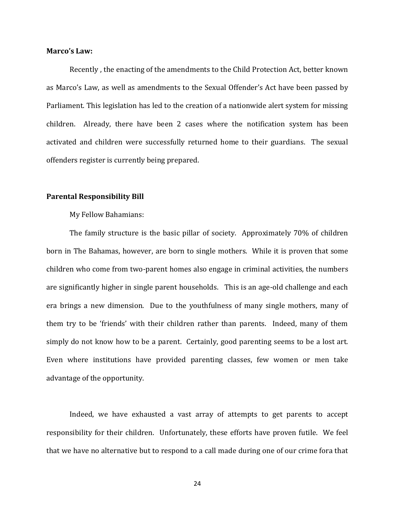#### **Marco's Law:**

Recently , the enacting of the amendments to the Child Protection Act, better known as Marco's Law, as well as amendments to the Sexual Offender's Act have been passed by Parliament. This legislation has led to the creation of a nationwide alert system for missing children. Already, there have been 2 cases where the notification system has been activated and children were successfully returned home to their guardians. The sexual offenders register is currently being prepared.

#### **Parental Responsibility Bill**

My Fellow Bahamians:

The family structure is the basic pillar of society. Approximately 70% of children born in The Bahamas, however, are born to single mothers. While it is proven that some children who come from two-parent homes also engage in criminal activities, the numbers are significantly higher in single parent households. This is an age-old challenge and each era brings a new dimension. Due to the youthfulness of many single mothers, many of them try to be 'friends' with their children rather than parents. Indeed, many of them simply do not know how to be a parent. Certainly, good parenting seems to be a lost art. Even where institutions have provided parenting classes, few women or men take advantage of the opportunity.

Indeed, we have exhausted a vast array of attempts to get parents to accept responsibility for their children. Unfortunately, these efforts have proven futile. We feel that we have no alternative but to respond to a call made during one of our crime fora that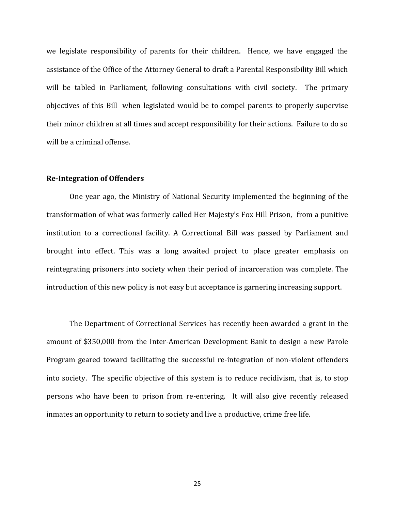we legislate responsibility of parents for their children. Hence, we have engaged the assistance of the Office of the Attorney General to draft a Parental Responsibility Bill which will be tabled in Parliament, following consultations with civil society. The primary objectives of this Bill when legislated would be to compel parents to properly supervise their minor children at all times and accept responsibility for their actions. Failure to do so will be a criminal offense.

# **Re-Integration of Offenders**

One year ago, the Ministry of National Security implemented the beginning of the transformation of what was formerly called Her Majesty's Fox Hill Prison, from a punitive institution to a correctional facility. A Correctional Bill was passed by Parliament and brought into effect. This was a long awaited project to place greater emphasis on reintegrating prisoners into society when their period of incarceration was complete. The introduction of this new policy is not easy but acceptance is garnering increasing support.

The Department of Correctional Services has recently been awarded a grant in the amount of \$350,000 from the Inter-American Development Bank to design a new Parole Program geared toward facilitating the successful re-integration of non-violent offenders into society. The specific objective of this system is to reduce recidivism, that is, to stop persons who have been to prison from re-entering. It will also give recently released inmates an opportunity to return to society and live a productive, crime free life.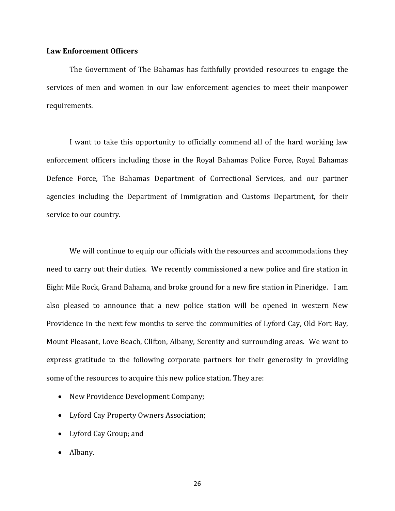# **Law Enforcement Officers**

The Government of The Bahamas has faithfully provided resources to engage the services of men and women in our law enforcement agencies to meet their manpower requirements.

I want to take this opportunity to officially commend all of the hard working law enforcement officers including those in the Royal Bahamas Police Force, Royal Bahamas Defence Force, The Bahamas Department of Correctional Services, and our partner agencies including the Department of Immigration and Customs Department, for their service to our country.

We will continue to equip our officials with the resources and accommodations they need to carry out their duties. We recently commissioned a new police and fire station in Eight Mile Rock, Grand Bahama, and broke ground for a new fire station in Pineridge. I am also pleased to announce that a new police station will be opened in western New Providence in the next few months to serve the communities of Lyford Cay, Old Fort Bay, Mount Pleasant, Love Beach, Clifton, Albany, Serenity and surrounding areas. We want to express gratitude to the following corporate partners for their generosity in providing some of the resources to acquire this new police station. They are:

- New Providence Development Company;
- Lyford Cay Property Owners Association;
- Lyford Cay Group; and
- Albany.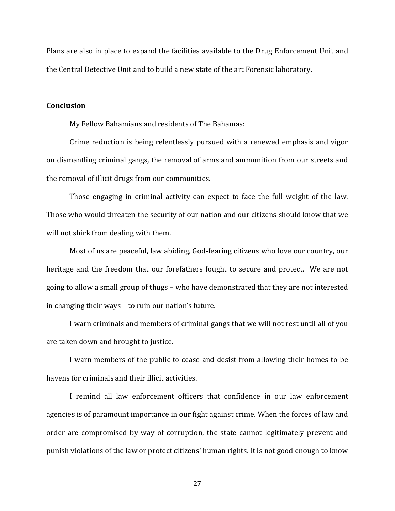Plans are also in place to expand the facilities available to the Drug Enforcement Unit and the Central Detective Unit and to build a new state of the art Forensic laboratory.

#### **Conclusion**

My Fellow Bahamians and residents of The Bahamas:

Crime reduction is being relentlessly pursued with a renewed emphasis and vigor on dismantling criminal gangs, the removal of arms and ammunition from our streets and the removal of illicit drugs from our communities.

Those engaging in criminal activity can expect to face the full weight of the law. Those who would threaten the security of our nation and our citizens should know that we will not shirk from dealing with them.

Most of us are peaceful, law abiding, God-fearing citizens who love our country, our heritage and the freedom that our forefathers fought to secure and protect. We are not going to allow a small group of thugs – who have demonstrated that they are not interested in changing their ways – to ruin our nation's future.

I warn criminals and members of criminal gangs that we will not rest until all of you are taken down and brought to justice.

I warn members of the public to cease and desist from allowing their homes to be havens for criminals and their illicit activities.

I remind all law enforcement officers that confidence in our law enforcement agencies is of paramount importance in our fight against crime. When the forces of law and order are compromised by way of corruption, the state cannot legitimately prevent and punish violations of the law or protect citizens' human rights. It is not good enough to know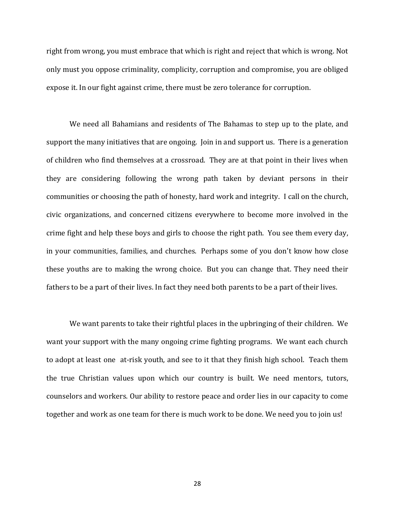right from wrong, you must embrace that which is right and reject that which is wrong. Not only must you oppose criminality, complicity, corruption and compromise, you are obliged expose it. In our fight against crime, there must be zero tolerance for corruption.

We need all Bahamians and residents of The Bahamas to step up to the plate, and support the many initiatives that are ongoing. Join in and support us. There is a generation of children who find themselves at a crossroad. They are at that point in their lives when they are considering following the wrong path taken by deviant persons in their communities or choosing the path of honesty, hard work and integrity. I call on the church, civic organizations, and concerned citizens everywhere to become more involved in the crime fight and help these boys and girls to choose the right path. You see them every day, in your communities, families, and churches. Perhaps some of you don't know how close these youths are to making the wrong choice. But you can change that. They need their fathers to be a part of their lives. In fact they need both parents to be a part of their lives.

We want parents to take their rightful places in the upbringing of their children. We want your support with the many ongoing crime fighting programs. We want each church to adopt at least one at-risk youth, and see to it that they finish high school. Teach them the true Christian values upon which our country is built. We need mentors, tutors, counselors and workers. Our ability to restore peace and order lies in our capacity to come together and work as one team for there is much work to be done. We need you to join us!